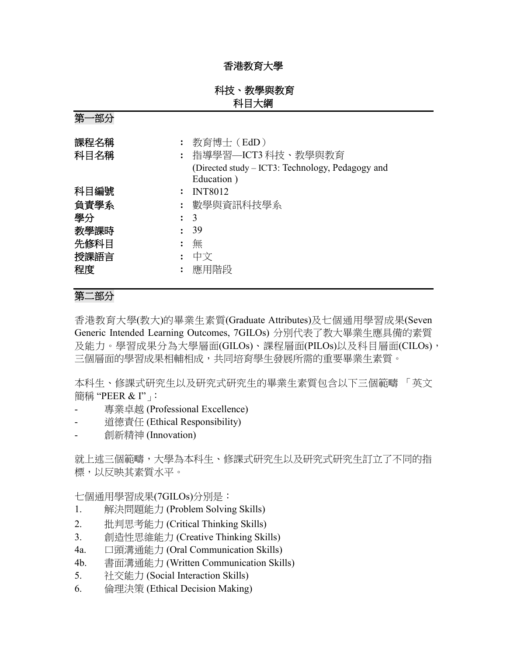### 香港教育大學

### 科技、教學與教育 科目大綱

第一部分

| 課程名稱<br>科目名稱 | 教育博士(EdD)<br>指導學習–ICT3科技、教學與教育<br>(Directed study – ICT3: Technology, Pedagogy and<br>Education) |
|--------------|--------------------------------------------------------------------------------------------------|
| 科目編號         | <b>INT8012</b>                                                                                   |
| 負責學系         | 數學與資訊科技學系                                                                                        |
| 學分           | $\colon$ 3                                                                                       |
| 教學課時         | 39                                                                                               |
| 先修科目         | 無                                                                                                |
| 授課語言         | 中文                                                                                               |
| 程度           | 應用階段                                                                                             |

# 第二部分

香港教育大學(教大)的畢業生素質(Graduate Attributes)及七個通用學習成果(Seven Generic Intended Learning Outcomes, 7GILOs) 分別代表了教大畢業生應具備的素質 及能力。學習成果分為大學層面(GILOs)、課程層面(PILOs)以及科目層面(CILOs), 三個層面的學習成果相輔相成,共同培育學生發展所需的重要畢業生素質。

本科生、修課式研究生以及研究式研究生的畢業生素質包含以下三個範疇 「英文 簡稱 "PEER & I"」:

- 專業卓越 (Professional Excellence)
- 道德責任 (Ethical Responsibility)
- 創新精神 (Innovation)

就上述三個範疇,大學為本科生、修課式研究生以及研究式研究生訂立了不同的指 標,以反映其素質水平。

七個通用學習成果(7GILOs)分別是:

- 1. 解決問題能力 (Problem Solving Skills)
- 2. 批判思考能力 (Critical Thinking Skills)
- 3. 創造性思維能力 (Creative Thinking Skills)
- 4a. 口頭溝通能力 (Oral Communication Skills)
- 4b. 書面溝通能力 (Written Communication Skills)
- 5. 社交能力 (Social Interaction Skills)
- 6. 倫理決策 (Ethical Decision Making)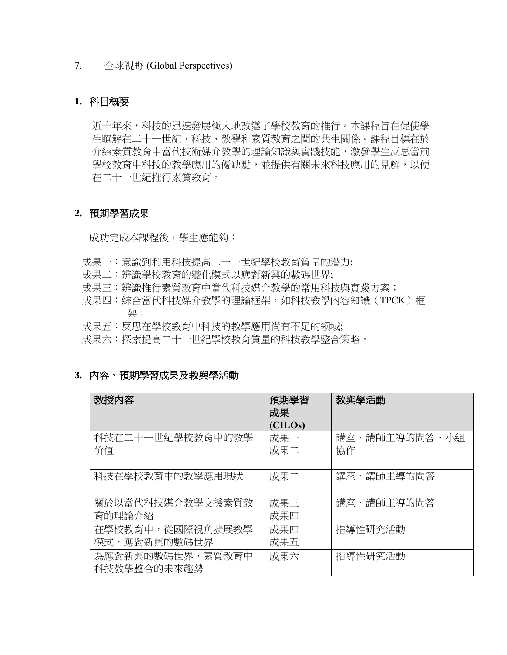#### 7. 全球視野 (Global Perspectives)

### **1.** 科目概要

近十年來,科技的迅速發展極大地改變了學校教育的推行。本課程旨在促使學 生瞭解在二十一世紀,科技、教學和素質教育之間的共生關係。課程目標在於 介紹素質教育中當代技術媒介教學的理論知識與實踐技能,激發學生反思當前 學校教育中科技的教學應用的優缺點,並提供有關未來科技應用的見解,以便 在二十一世紀推行素質教育。

#### **2.** 預期學習成果

成功完成本課程後,學生應能夠:

- 成果一:意識到利用科技提高二十一世紀學校教育質量的潜力;
- 成果二:辨識學校教育的變化模式以應對新興的數碼世界;
- 成果三:辨識推行素質教育中當代科技媒介教學的常用科技與實踐方案;
- 成果四:綜合當代科技媒介教學的理論框架,如科技教學內容知識(TPCK)框 架;
- 成果五:反思在學校教育中科技的教學應用尚有不足的领域;
- 成果六:探索提高二十一世紀學校教育質量的科技教學整合策略。

#### **3.** 內容、預期學習成果及教與學活動

| 教授内容             | 預期學習    | 教與學活動             |
|------------------|---------|-------------------|
|                  | 成果      |                   |
|                  | (CILOs) |                   |
| 科技在二十一世紀學校教育中的教學 | 成果一     | 講師主導的問答、小組<br>講座、 |
| 价值               | 成果二     | 協作                |
|                  |         |                   |
|                  |         |                   |
| 科技在學校教育中的教學應用現狀  | 成果二     | 講座、講師主導的問答        |
|                  |         |                   |
|                  |         |                   |
| 關於以當代科技媒介教學支援素質教 | 成果三     | 講座、講師主導的問答        |
| 育的理論介紹           | 成果四     |                   |
|                  |         |                   |
| 在學校教育中,從國際視角擴展教學 | 成果四     | 指導性研究活動           |
| 模式,應對新興的數碼世界     | 成果五     |                   |
|                  |         |                   |
| 為應對新興的數碼世界,素質教育中 | 成果六     | 指導性研究活動           |
| 科技教學整合的未來趨勢      |         |                   |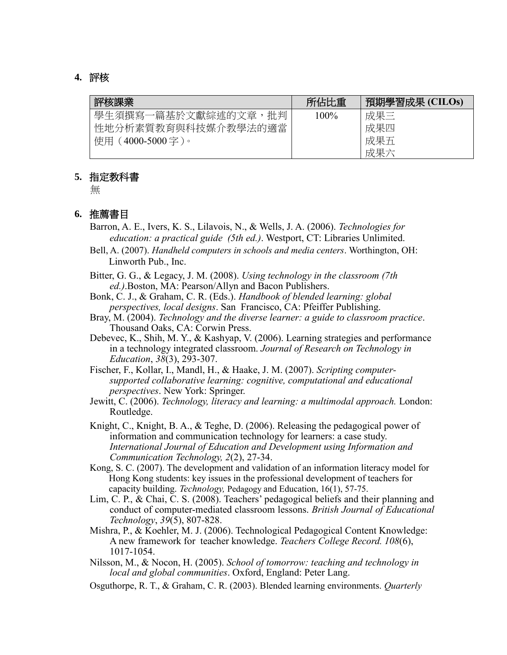#### **4.** 評核

| 評核課業                | 所佔比重    | 預期學習成果 (CILOs) |
|---------------------|---------|----------------|
| 學生須撰寫一篇基於文獻綜述的文章,批判 | $100\%$ | 成果三            |
| 性地分析素質教育與科技媒介教學法的適當 |         | 成果四            |
| 使用(4000-5000 字 )。   |         | 成果五            |
|                     |         | 成果六            |

#### **5.** 指定教科書

無

#### **6.** 推薦書目

- Barron, A. E., Ivers, K. S., Lilavois, N., & Wells, J. A. (2006). *Technologies for education: a practical guide (5th ed.)*. Westport, CT: Libraries Unlimited.
- Bell, A. (2007). *Handheld computers in schools and media centers*. Worthington, OH: Linworth Pub., Inc.
- Bitter, G. G., & Legacy, J. M. (2008). *Using technology in the classroom (7th ed.)*.Boston, MA: Pearson/Allyn and Bacon Publishers.
- Bonk, C. J., & Graham, C. R. (Eds.). *Handbook of blended learning: global perspectives, local designs*. San Francisco, CA: Pfeiffer Publishing.
- Bray, M. (2004). *Technology and the diverse learner: a guide to classroom practice*. Thousand Oaks, CA: Corwin Press.
- Debevec, K., Shih, M. Y., & Kashyap, V. (2006). Learning strategies and performance in a technology integrated classroom. *Journal of Research on Technology in Education*, *38*(3), 293-307.
- Fischer, F., Kollar, I., Mandl, H., & Haake, J. M. (2007). *Scripting computersupported collaborative learning: cognitive, computational and educational perspectives*. New York: Springer.
- Jewitt, C. (2006). *Technology, literacy and learning: a multimodal approach.* London: Routledge.
- Knight, C., Knight, B. A., & Teghe, D. (2006). Releasing the pedagogical power of information and communication technology for learners: a case study. *International Journal of Education and Development using Information and Communication Technology, 2*(2), 27-34.
- Kong, S. C. (2007). The development and validation of an information literacy model for Hong Kong students: key issues in the professional development of teachers for capacity building. *Technology,* Pedagogy and Education, 16(1), 57-75.
- Lim, C. P., & Chai, C. S. (2008). Teachers' pedagogical beliefs and their planning and conduct of computer-mediated classroom lessons. *British Journal of Educational Technology*, *39*(5), 807-828.
- Mishra, P., & Koehler, M. J. (2006). Technological Pedagogical Content Knowledge: A new framework for teacher knowledge. *Teachers College Record. 108*(6), 1017-1054.
- Nilsson, M., & Nocon, H. (2005). *School of tomorrow: teaching and technology in local and global communities*. Oxford, England: Peter Lang.
- Osguthorpe, R. T., & Graham, C. R. (2003). Blended learning environments. *Quarterly*